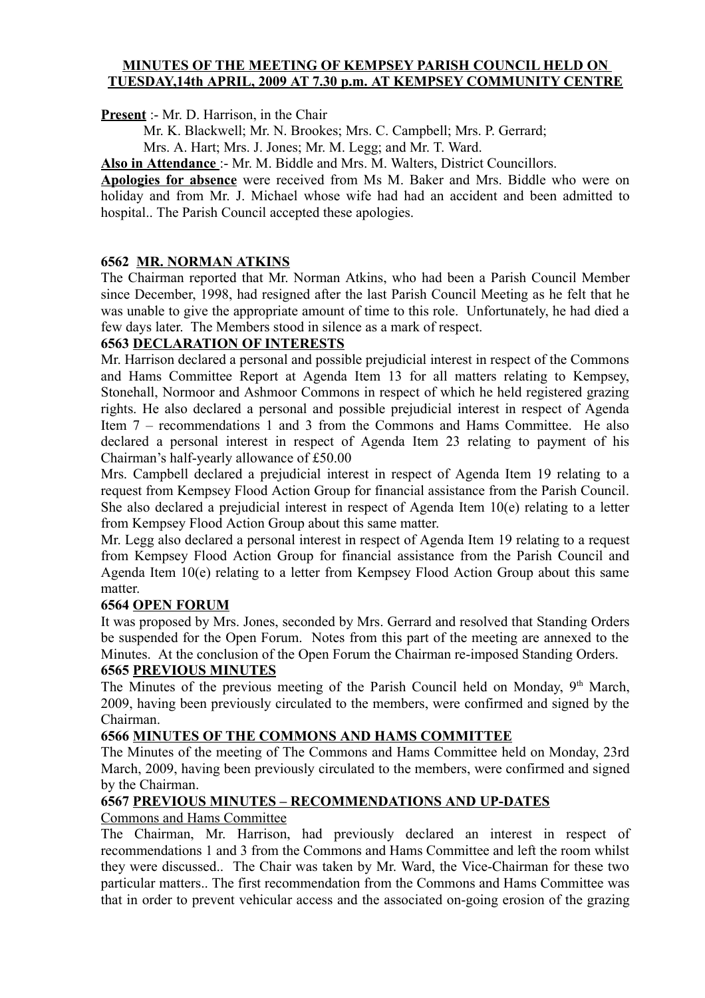#### **MINUTES OF THE MEETING OF KEMPSEY PARISH COUNCIL HELD ON TUESDAY,14th APRIL, 2009 AT 7.30 p.m. AT KEMPSEY COMMUNITY CENTRE**

**Present** :- Mr. D. Harrison, in the Chair

Mr. K. Blackwell; Mr. N. Brookes; Mrs. C. Campbell; Mrs. P. Gerrard;

Mrs. A. Hart; Mrs. J. Jones; Mr. M. Legg; and Mr. T. Ward.

**Also in Attendance** :- Mr. M. Biddle and Mrs. M. Walters, District Councillors.

**Apologies for absence** were received from Ms M. Baker and Mrs. Biddle who were on holiday and from Mr. J. Michael whose wife had had an accident and been admitted to hospital.. The Parish Council accepted these apologies.

### **6562 MR. NORMAN ATKINS**

The Chairman reported that Mr. Norman Atkins, who had been a Parish Council Member since December, 1998, had resigned after the last Parish Council Meeting as he felt that he was unable to give the appropriate amount of time to this role. Unfortunately, he had died a few days later. The Members stood in silence as a mark of respect.

### **6563 DECLARATION OF INTERESTS**

Mr. Harrison declared a personal and possible prejudicial interest in respect of the Commons and Hams Committee Report at Agenda Item 13 for all matters relating to Kempsey, Stonehall, Normoor and Ashmoor Commons in respect of which he held registered grazing rights. He also declared a personal and possible prejudicial interest in respect of Agenda Item 7 – recommendations 1 and 3 from the Commons and Hams Committee. He also declared a personal interest in respect of Agenda Item 23 relating to payment of his Chairman's half-yearly allowance of £50.00

Mrs. Campbell declared a prejudicial interest in respect of Agenda Item 19 relating to a request from Kempsey Flood Action Group for financial assistance from the Parish Council. She also declared a prejudicial interest in respect of Agenda Item 10(e) relating to a letter from Kempsey Flood Action Group about this same matter.

Mr. Legg also declared a personal interest in respect of Agenda Item 19 relating to a request from Kempsey Flood Action Group for financial assistance from the Parish Council and Agenda Item 10(e) relating to a letter from Kempsey Flood Action Group about this same matter.

### **6564 OPEN FORUM**

It was proposed by Mrs. Jones, seconded by Mrs. Gerrard and resolved that Standing Orders be suspended for the Open Forum. Notes from this part of the meeting are annexed to the Minutes. At the conclusion of the Open Forum the Chairman re-imposed Standing Orders.

### **6565 PREVIOUS MINUTES**

The Minutes of the previous meeting of the Parish Council held on Monday,  $9<sup>th</sup>$  March, 2009, having been previously circulated to the members, were confirmed and signed by the Chairman.

## **6566 MINUTES OF THE COMMONS AND HAMS COMMITTEE**

The Minutes of the meeting of The Commons and Hams Committee held on Monday, 23rd March, 2009, having been previously circulated to the members, were confirmed and signed by the Chairman.

#### **6567 PREVIOUS MINUTES – RECOMMENDATIONS AND UP-DATES**

### Commons and Hams Committee

The Chairman, Mr. Harrison, had previously declared an interest in respect of recommendations 1 and 3 from the Commons and Hams Committee and left the room whilst they were discussed.. The Chair was taken by Mr. Ward, the Vice-Chairman for these two particular matters.. The first recommendation from the Commons and Hams Committee was that in order to prevent vehicular access and the associated on-going erosion of the grazing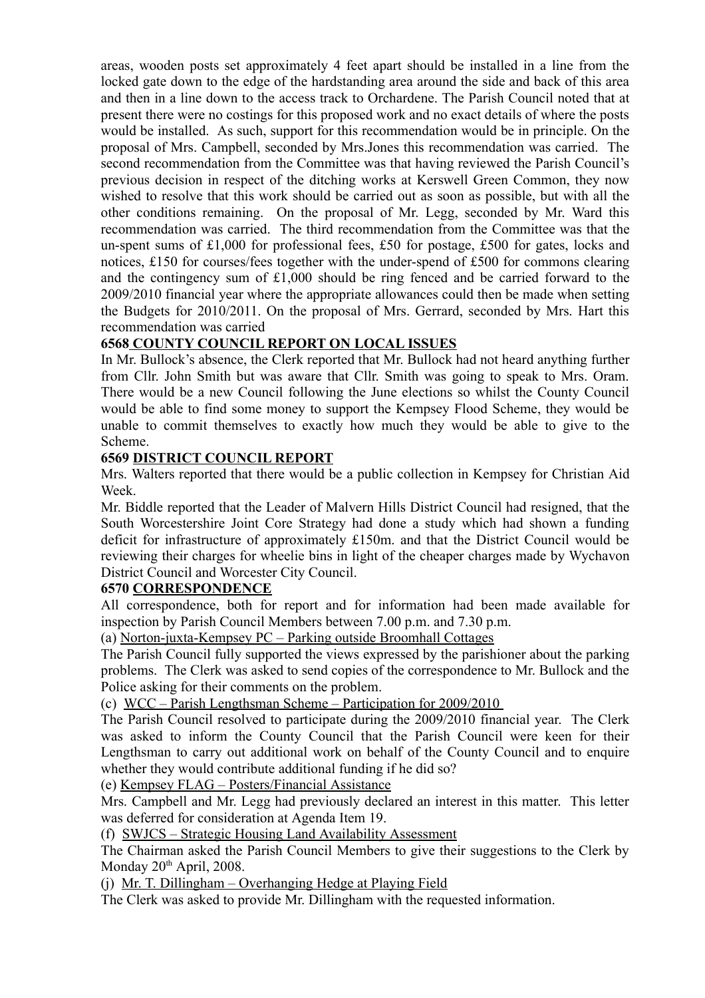areas, wooden posts set approximately 4 feet apart should be installed in a line from the locked gate down to the edge of the hardstanding area around the side and back of this area and then in a line down to the access track to Orchardene. The Parish Council noted that at present there were no costings for this proposed work and no exact details of where the posts would be installed. As such, support for this recommendation would be in principle. On the proposal of Mrs. Campbell, seconded by Mrs.Jones this recommendation was carried. The second recommendation from the Committee was that having reviewed the Parish Council's previous decision in respect of the ditching works at Kerswell Green Common, they now wished to resolve that this work should be carried out as soon as possible, but with all the other conditions remaining. On the proposal of Mr. Legg, seconded by Mr. Ward this recommendation was carried. The third recommendation from the Committee was that the un-spent sums of £1,000 for professional fees, £50 for postage, £500 for gates, locks and notices, £150 for courses/fees together with the under-spend of £500 for commons clearing and the contingency sum of £1,000 should be ring fenced and be carried forward to the 2009/2010 financial year where the appropriate allowances could then be made when setting the Budgets for 2010/2011. On the proposal of Mrs. Gerrard, seconded by Mrs. Hart this recommendation was carried

### **6568 COUNTY COUNCIL REPORT ON LOCAL ISSUES**

In Mr. Bullock's absence, the Clerk reported that Mr. Bullock had not heard anything further from Cllr. John Smith but was aware that Cllr. Smith was going to speak to Mrs. Oram. There would be a new Council following the June elections so whilst the County Council would be able to find some money to support the Kempsey Flood Scheme, they would be unable to commit themselves to exactly how much they would be able to give to the Scheme.

### **6569 DISTRICT COUNCIL REPORT**

Mrs. Walters reported that there would be a public collection in Kempsey for Christian Aid Week.

Mr. Biddle reported that the Leader of Malvern Hills District Council had resigned, that the South Worcestershire Joint Core Strategy had done a study which had shown a funding deficit for infrastructure of approximately £150m. and that the District Council would be reviewing their charges for wheelie bins in light of the cheaper charges made by Wychavon District Council and Worcester City Council.

### **6570 CORRESPONDENCE**

All correspondence, both for report and for information had been made available for inspection by Parish Council Members between 7.00 p.m. and 7.30 p.m.

(a) Norton-juxta-Kempsey PC – Parking outside Broomhall Cottages

The Parish Council fully supported the views expressed by the parishioner about the parking problems. The Clerk was asked to send copies of the correspondence to Mr. Bullock and the Police asking for their comments on the problem.

(c) WCC – Parish Lengthsman Scheme – Participation for 2009/2010

The Parish Council resolved to participate during the 2009/2010 financial year. The Clerk was asked to inform the County Council that the Parish Council were keen for their Lengthsman to carry out additional work on behalf of the County Council and to enquire whether they would contribute additional funding if he did so?

(e) Kempsey FLAG – Posters/Financial Assistance

Mrs. Campbell and Mr. Legg had previously declared an interest in this matter. This letter was deferred for consideration at Agenda Item 19.

(f) SWJCS – Strategic Housing Land Availability Assessment

The Chairman asked the Parish Council Members to give their suggestions to the Clerk by Monday 20<sup>th</sup> April, 2008.

(j) Mr. T. Dillingham – Overhanging Hedge at Playing Field

The Clerk was asked to provide Mr. Dillingham with the requested information.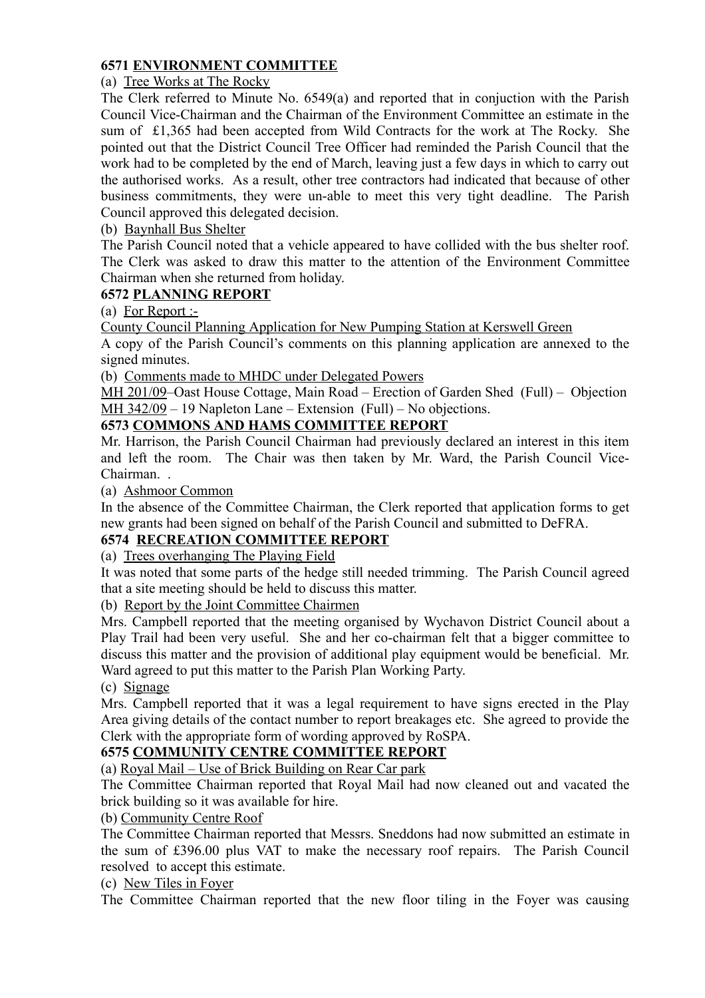## **6571 ENVIRONMENT COMMITTEE**

# (a) Tree Works at The Rocky

The Clerk referred to Minute No. 6549(a) and reported that in conjuction with the Parish Council Vice-Chairman and the Chairman of the Environment Committee an estimate in the sum of £1,365 had been accepted from Wild Contracts for the work at The Rocky. She pointed out that the District Council Tree Officer had reminded the Parish Council that the work had to be completed by the end of March, leaving just a few days in which to carry out the authorised works. As a result, other tree contractors had indicated that because of other business commitments, they were un-able to meet this very tight deadline. The Parish Council approved this delegated decision.

# (b) Baynhall Bus Shelter

The Parish Council noted that a vehicle appeared to have collided with the bus shelter roof. The Clerk was asked to draw this matter to the attention of the Environment Committee Chairman when she returned from holiday.

# **6572 PLANNING REPORT**

(a) For Report :-

County Council Planning Application for New Pumping Station at Kerswell Green

A copy of the Parish Council's comments on this planning application are annexed to the signed minutes.

(b) Comments made to MHDC under Delegated Powers

MH 201/09–Oast House Cottage, Main Road – Erection of Garden Shed (Full) – Objection MH 342/09 – 19 Napleton Lane – Extension (Full) – No objections.

# **6573 COMMONS AND HAMS COMMITTEE REPORT**

Mr. Harrison, the Parish Council Chairman had previously declared an interest in this item and left the room. The Chair was then taken by Mr. Ward, the Parish Council Vice-Chairman.

(a) Ashmoor Common

In the absence of the Committee Chairman, the Clerk reported that application forms to get new grants had been signed on behalf of the Parish Council and submitted to DeFRA.

### **6574 RECREATION COMMITTEE REPORT**

(a) Trees overhanging The Playing Field

It was noted that some parts of the hedge still needed trimming. The Parish Council agreed that a site meeting should be held to discuss this matter.

(b) Report by the Joint Committee Chairmen

Mrs. Campbell reported that the meeting organised by Wychavon District Council about a Play Trail had been very useful. She and her co-chairman felt that a bigger committee to discuss this matter and the provision of additional play equipment would be beneficial. Mr. Ward agreed to put this matter to the Parish Plan Working Party.

### (c) Signage

Mrs. Campbell reported that it was a legal requirement to have signs erected in the Play Area giving details of the contact number to report breakages etc. She agreed to provide the Clerk with the appropriate form of wording approved by RoSPA.

### **6575 COMMUNITY CENTRE COMMITTEE REPORT**

(a) Royal Mail – Use of Brick Building on Rear Car park

The Committee Chairman reported that Royal Mail had now cleaned out and vacated the brick building so it was available for hire.

### (b) Community Centre Roof

The Committee Chairman reported that Messrs. Sneddons had now submitted an estimate in the sum of £396.00 plus VAT to make the necessary roof repairs. The Parish Council resolved to accept this estimate.

(c) New Tiles in Foyer

The Committee Chairman reported that the new floor tiling in the Foyer was causing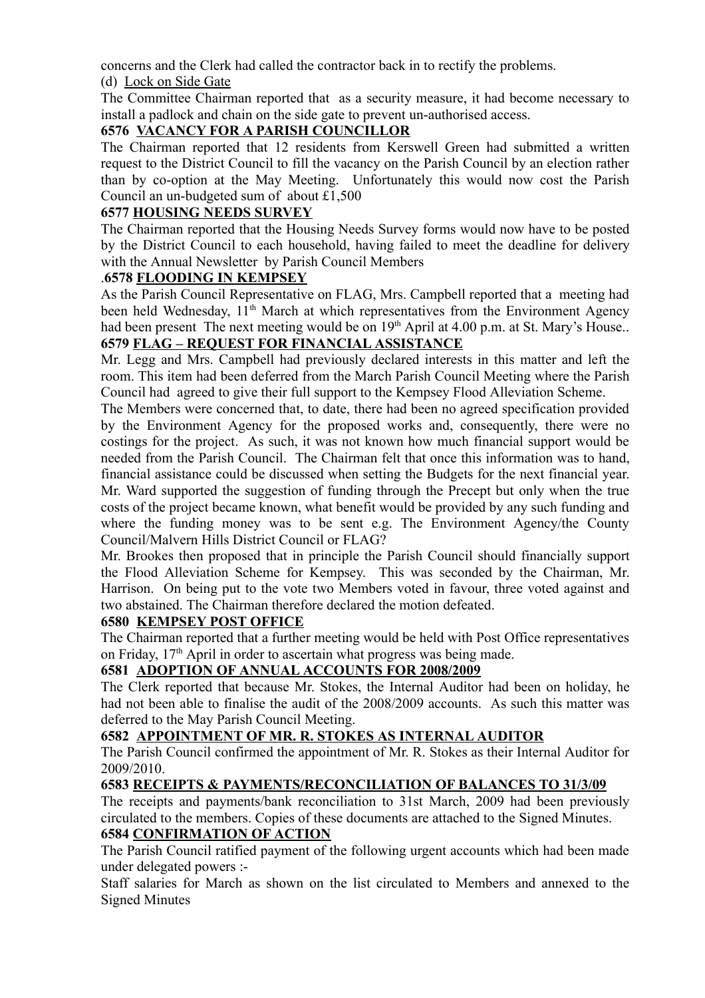concerns and the Clerk had called the contractor back in to rectify the problems. (d) Lock on Side Gate

The Committee Chairman reported that as a security measure, it had become necessary to install a padlock and chain on the side gate to prevent un-authorised access.

# **6576 VACANCY FOR A PARISH COUNCILLOR**

The Chairman reported that 12 residents from Kerswell Green had submitted a written request to the District Council to fill the vacancy on the Parish Council by an election rather than by co-option at the May Meeting. Unfortunately this would now cost the Parish Council an un-budgeted sum of about £1,500

### **6577 HOUSING NEEDS SURVEY**

The Chairman reported that the Housing Needs Survey forms would now have to be posted by the District Council to each household, having failed to meet the deadline for delivery with the Annual Newsletter by Parish Council Members

### .**6578 FLOODING IN KEMPSEY**

As the Parish Council Representative on FLAG, Mrs. Campbell reported that a meeting had been held Wednesday, 11<sup>th</sup> March at which representatives from the Environment Agency had been present The next meeting would be on 19<sup>th</sup> April at 4.00 p.m. at St. Mary's House..

# **6579 FLAG – REQUEST FOR FINANCIAL ASSISTANCE**

Mr. Legg and Mrs. Campbell had previously declared interests in this matter and left the room. This item had been deferred from the March Parish Council Meeting where the Parish Council had agreed to give their full support to the Kempsey Flood Alleviation Scheme.

The Members were concerned that, to date, there had been no agreed specification provided by the Environment Agency for the proposed works and, consequently, there were no costings for the project. As such, it was not known how much financial support would be needed from the Parish Council. The Chairman felt that once this information was to hand, financial assistance could be discussed when setting the Budgets for the next financial year. Mr. Ward supported the suggestion of funding through the Precept but only when the true costs of the project became known, what benefit would be provided by any such funding and where the funding money was to be sent e.g. The Environment Agency/the County Council/Malvern Hills District Council or FLAG?

Mr. Brookes then proposed that in principle the Parish Council should financially support the Flood Alleviation Scheme for Kempsey. This was seconded by the Chairman, Mr. Harrison. On being put to the vote two Members voted in favour, three voted against and two abstained. The Chairman therefore declared the motion defeated.

### **6580 KEMPSEY POST OFFICE**

The Chairman reported that a further meeting would be held with Post Office representatives on Friday, 17<sup>th</sup> April in order to ascertain what progress was being made.

### **6581 ADOPTION OF ANNUAL ACCOUNTS FOR 2008/2009**

The Clerk reported that because Mr. Stokes, the Internal Auditor had been on holiday, he had not been able to finalise the audit of the 2008/2009 accounts. As such this matter was deferred to the May Parish Council Meeting.

### **6582 APPOINTMENT OF MR. R. STOKES AS INTERNAL AUDITOR**

The Parish Council confirmed the appointment of Mr. R. Stokes as their Internal Auditor for 2009/2010.

## **6583 RECEIPTS & PAYMENTS/RECONCILIATION OF BALANCES TO 31/3/09**

The receipts and payments/bank reconciliation to 31st March, 2009 had been previously circulated to the members. Copies of these documents are attached to the Signed Minutes.

# **6584 CONFIRMATION OF ACTION**

The Parish Council ratified payment of the following urgent accounts which had been made under delegated powers :-

Staff salaries for March as shown on the list circulated to Members and annexed to the Signed Minutes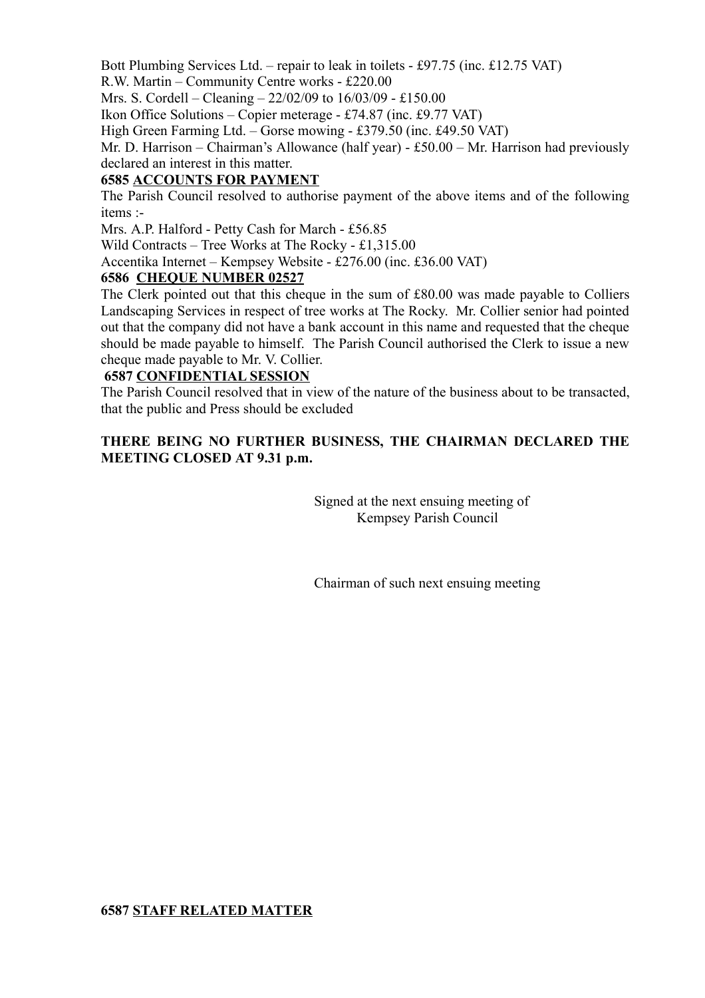Bott Plumbing Services Ltd. – repair to leak in toilets - £97.75 (inc. £12.75 VAT) R.W. Martin – Community Centre works - £220.00

Mrs. S. Cordell – Cleaning – 22/02/09 to 16/03/09 - £150.00

Ikon Office Solutions – Copier meterage - £74.87 (inc. £9.77 VAT)

High Green Farming Ltd. – Gorse mowing - £379.50 (inc. £49.50 VAT)

Mr. D. Harrison – Chairman's Allowance (half year) - £50.00 – Mr. Harrison had previously declared an interest in this matter.

## **6585 ACCOUNTS FOR PAYMENT**

The Parish Council resolved to authorise payment of the above items and of the following items :-

Mrs. A.P. Halford - Petty Cash for March - £56.85

Wild Contracts – Tree Works at The Rocky - £1,315.00

Accentika Internet – Kempsey Website - £276.00 (inc. £36.00 VAT)

### **6586 CHEQUE NUMBER 02527**

The Clerk pointed out that this cheque in the sum of £80.00 was made payable to Colliers Landscaping Services in respect of tree works at The Rocky. Mr. Collier senior had pointed out that the company did not have a bank account in this name and requested that the cheque should be made payable to himself. The Parish Council authorised the Clerk to issue a new cheque made payable to Mr. V. Collier.

## **6587 CONFIDENTIAL SESSION**

The Parish Council resolved that in view of the nature of the business about to be transacted, that the public and Press should be excluded

### **THERE BEING NO FURTHER BUSINESS, THE CHAIRMAN DECLARED THE MEETING CLOSED AT 9.31 p.m.**

Signed at the next ensuing meeting of Kempsey Parish Council

Chairman of such next ensuing meeting

### **6587 STAFF RELATED MATTER**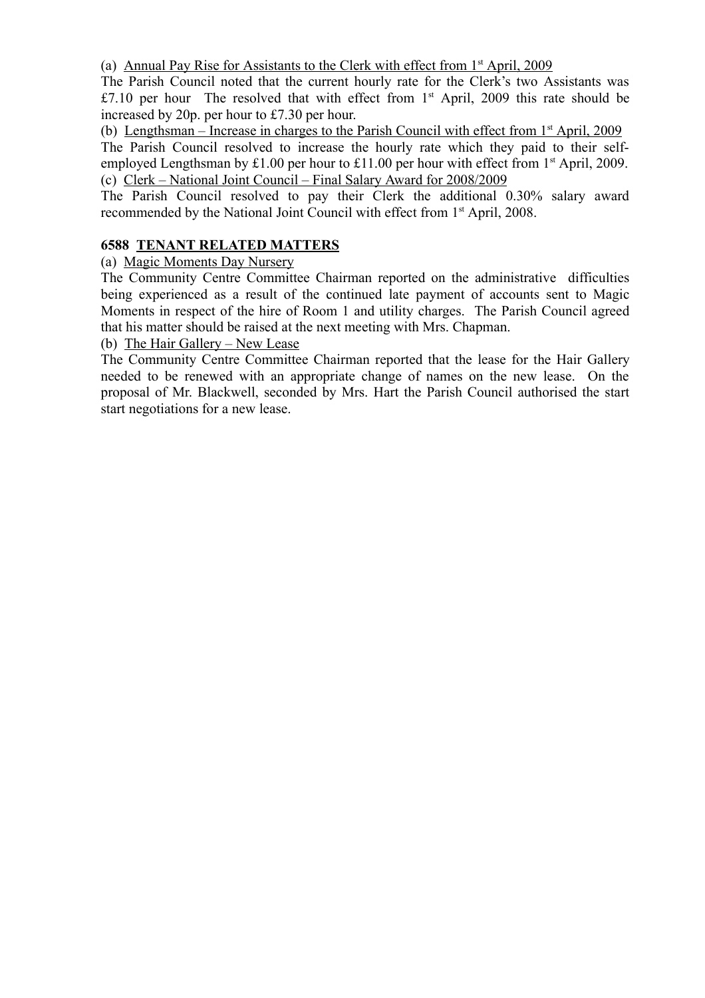(a) Annual Pay Rise for Assistants to the Clerk with effect from  $1<sup>st</sup>$  April, 2009

The Parish Council noted that the current hourly rate for the Clerk's two Assistants was  $£7.10$  per hour The resolved that with effect from  $1<sup>st</sup>$  April, 2009 this rate should be increased by 20p. per hour to £7.30 per hour.

(b) Lengthsman – Increase in charges to the Parish Council with effect from  $1<sup>st</sup>$  April, 2009 The Parish Council resolved to increase the hourly rate which they paid to their selfemployed Lengthsman by £1.00 per hour to £11.00 per hour with effect from 1<sup>st</sup> April, 2009. (c) Clerk – National Joint Council – Final Salary Award for 2008/2009

The Parish Council resolved to pay their Clerk the additional 0.30% salary award recommended by the National Joint Council with effect from 1<sup>st</sup> April, 2008.

### **6588 TENANT RELATED MATTERS**

(a) Magic Moments Day Nursery

The Community Centre Committee Chairman reported on the administrative difficulties being experienced as a result of the continued late payment of accounts sent to Magic Moments in respect of the hire of Room 1 and utility charges. The Parish Council agreed that his matter should be raised at the next meeting with Mrs. Chapman.

(b) The Hair Gallery – New Lease

The Community Centre Committee Chairman reported that the lease for the Hair Gallery needed to be renewed with an appropriate change of names on the new lease. On the proposal of Mr. Blackwell, seconded by Mrs. Hart the Parish Council authorised the start start negotiations for a new lease.